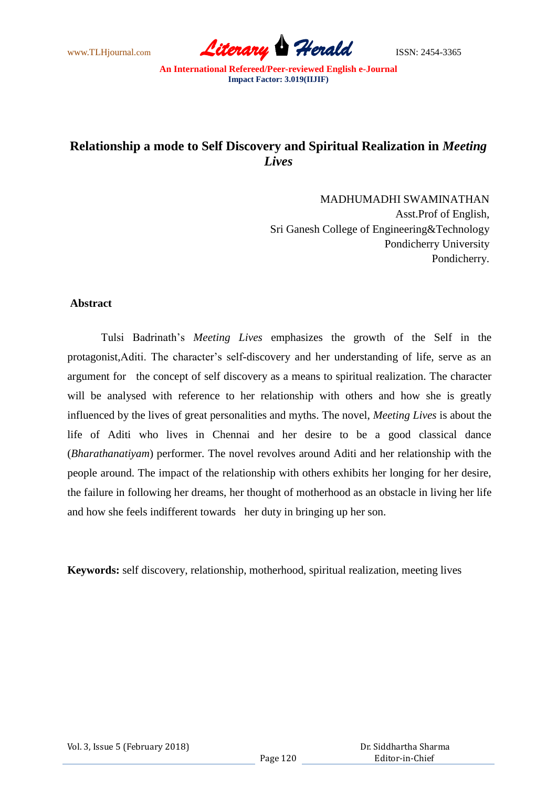www.TLHjournal.com **Literary Herald ISSN: 2454-3365** 

# **Relationship a mode to Self Discovery and Spiritual Realization in** *Meeting Lives*

MADHUMADHI SWAMINATHAN Asst.Prof of English, Sri Ganesh College of Engineering&Technology Pondicherry University Pondicherry.

## **Abstract**

Tulsi Badrinath"s *Meeting Lives* emphasizes the growth of the Self in the protagonist,Aditi. The character"s self-discovery and her understanding of life, serve as an argument for the concept of self discovery as a means to spiritual realization. The character will be analysed with reference to her relationship with others and how she is greatly influenced by the lives of great personalities and myths. The novel, *Meeting Lives* is about the life of Aditi who lives in Chennai and her desire to be a good classical dance (*Bharathanatiyam*) performer. The novel revolves around Aditi and her relationship with the people around. The impact of the relationship with others exhibits her longing for her desire, the failure in following her dreams, her thought of motherhood as an obstacle in living her life and how she feels indifferent towards her duty in bringing up her son.

**Keywords:** self discovery, relationship, motherhood, spiritual realization, meeting lives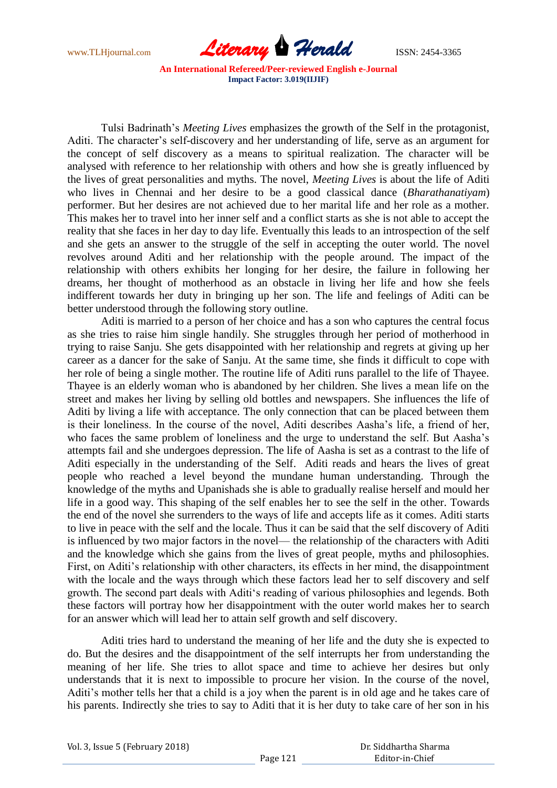

Tulsi Badrinath"s *Meeting Lives* emphasizes the growth of the Self in the protagonist, Aditi. The character's self-discovery and her understanding of life, serve as an argument for the concept of self discovery as a means to spiritual realization. The character will be analysed with reference to her relationship with others and how she is greatly influenced by the lives of great personalities and myths. The novel, *Meeting Lives* is about the life of Aditi who lives in Chennai and her desire to be a good classical dance (*Bharathanatiyam*) performer. But her desires are not achieved due to her marital life and her role as a mother. This makes her to travel into her inner self and a conflict starts as she is not able to accept the reality that she faces in her day to day life. Eventually this leads to an introspection of the self and she gets an answer to the struggle of the self in accepting the outer world. The novel revolves around Aditi and her relationship with the people around. The impact of the relationship with others exhibits her longing for her desire, the failure in following her dreams, her thought of motherhood as an obstacle in living her life and how she feels indifferent towards her duty in bringing up her son. The life and feelings of Aditi can be better understood through the following story outline.

Aditi is married to a person of her choice and has a son who captures the central focus as she tries to raise him single handily. She struggles through her period of motherhood in trying to raise Sanju. She gets disappointed with her relationship and regrets at giving up her career as a dancer for the sake of Sanju. At the same time, she finds it difficult to cope with her role of being a single mother. The routine life of Aditi runs parallel to the life of Thayee. Thayee is an elderly woman who is abandoned by her children. She lives a mean life on the street and makes her living by selling old bottles and newspapers. She influences the life of Aditi by living a life with acceptance. The only connection that can be placed between them is their loneliness. In the course of the novel, Aditi describes Aasha"s life, a friend of her, who faces the same problem of loneliness and the urge to understand the self. But Aasha's attempts fail and she undergoes depression. The life of Aasha is set as a contrast to the life of Aditi especially in the understanding of the Self. Aditi reads and hears the lives of great people who reached a level beyond the mundane human understanding. Through the knowledge of the myths and Upanishads she is able to gradually realise herself and mould her life in a good way. This shaping of the self enables her to see the self in the other. Towards the end of the novel she surrenders to the ways of life and accepts life as it comes. Aditi starts to live in peace with the self and the locale. Thus it can be said that the self discovery of Aditi is influenced by two major factors in the novel— the relationship of the characters with Aditi and the knowledge which she gains from the lives of great people, myths and philosophies. First, on Aditi's relationship with other characters, its effects in her mind, the disappointment with the locale and the ways through which these factors lead her to self discovery and self growth. The second part deals with Aditi"s reading of various philosophies and legends. Both these factors will portray how her disappointment with the outer world makes her to search for an answer which will lead her to attain self growth and self discovery.

Aditi tries hard to understand the meaning of her life and the duty she is expected to do. But the desires and the disappointment of the self interrupts her from understanding the meaning of her life. She tries to allot space and time to achieve her desires but only understands that it is next to impossible to procure her vision. In the course of the novel, Aditi"s mother tells her that a child is a joy when the parent is in old age and he takes care of his parents. Indirectly she tries to say to Aditi that it is her duty to take care of her son in his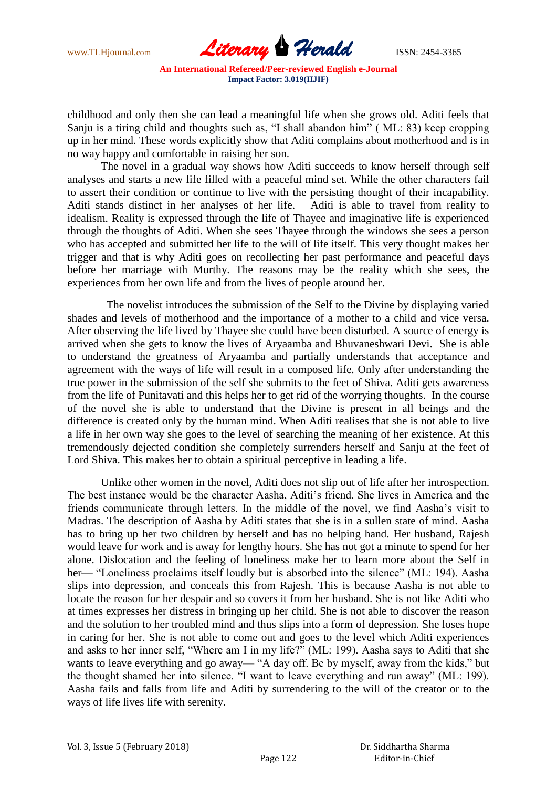

childhood and only then she can lead a meaningful life when she grows old. Aditi feels that Sanju is a tiring child and thoughts such as, "I shall abandon him" ( ML: 83) keep cropping up in her mind. These words explicitly show that Aditi complains about motherhood and is in no way happy and comfortable in raising her son.

The novel in a gradual way shows how Aditi succeeds to know herself through self analyses and starts a new life filled with a peaceful mind set. While the other characters fail to assert their condition or continue to live with the persisting thought of their incapability. Aditi stands distinct in her analyses of her life. Aditi is able to travel from reality to idealism. Reality is expressed through the life of Thayee and imaginative life is experienced through the thoughts of Aditi. When she sees Thayee through the windows she sees a person who has accepted and submitted her life to the will of life itself. This very thought makes her trigger and that is why Aditi goes on recollecting her past performance and peaceful days before her marriage with Murthy. The reasons may be the reality which she sees, the experiences from her own life and from the lives of people around her.

 The novelist introduces the submission of the Self to the Divine by displaying varied shades and levels of motherhood and the importance of a mother to a child and vice versa. After observing the life lived by Thayee she could have been disturbed. A source of energy is arrived when she gets to know the lives of Aryaamba and Bhuvaneshwari Devi. She is able to understand the greatness of Aryaamba and partially understands that acceptance and agreement with the ways of life will result in a composed life. Only after understanding the true power in the submission of the self she submits to the feet of Shiva. Aditi gets awareness from the life of Punitavati and this helps her to get rid of the worrying thoughts. In the course of the novel she is able to understand that the Divine is present in all beings and the difference is created only by the human mind. When Aditi realises that she is not able to live a life in her own way she goes to the level of searching the meaning of her existence. At this tremendously dejected condition she completely surrenders herself and Sanju at the feet of Lord Shiva. This makes her to obtain a spiritual perceptive in leading a life.

Unlike other women in the novel, Aditi does not slip out of life after her introspection. The best instance would be the character Aasha, Aditi"s friend. She lives in America and the friends communicate through letters. In the middle of the novel, we find Aasha"s visit to Madras. The description of Aasha by Aditi states that she is in a sullen state of mind. Aasha has to bring up her two children by herself and has no helping hand. Her husband, Rajesh would leave for work and is away for lengthy hours. She has not got a minute to spend for her alone. Dislocation and the feeling of loneliness make her to learn more about the Self in her— "Loneliness proclaims itself loudly but is absorbed into the silence" (ML: 194). Aasha slips into depression, and conceals this from Rajesh. This is because Aasha is not able to locate the reason for her despair and so covers it from her husband. She is not like Aditi who at times expresses her distress in bringing up her child. She is not able to discover the reason and the solution to her troubled mind and thus slips into a form of depression. She loses hope in caring for her. She is not able to come out and goes to the level which Aditi experiences and asks to her inner self, "Where am I in my life?" (ML: 199). Aasha says to Aditi that she wants to leave everything and go away— "A day off. Be by myself, away from the kids," but the thought shamed her into silence. "I want to leave everything and run away" (ML: 199). Aasha fails and falls from life and Aditi by surrendering to the will of the creator or to the ways of life lives life with serenity.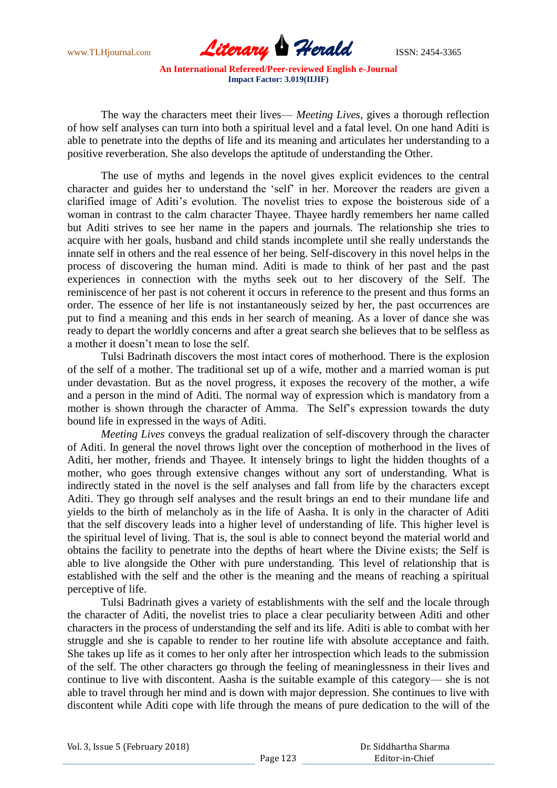

The way the characters meet their lives— *Meeting Lives*, gives a thorough reflection of how self analyses can turn into both a spiritual level and a fatal level. On one hand Aditi is able to penetrate into the depths of life and its meaning and articulates her understanding to a positive reverberation. She also develops the aptitude of understanding the Other.

The use of myths and legends in the novel gives explicit evidences to the central character and guides her to understand the "self" in her. Moreover the readers are given a clarified image of Aditi"s evolution. The novelist tries to expose the boisterous side of a woman in contrast to the calm character Thayee. Thayee hardly remembers her name called but Aditi strives to see her name in the papers and journals. The relationship she tries to acquire with her goals, husband and child stands incomplete until she really understands the innate self in others and the real essence of her being. Self-discovery in this novel helps in the process of discovering the human mind. Aditi is made to think of her past and the past experiences in connection with the myths seek out to her discovery of the Self. The reminiscence of her past is not coherent it occurs in reference to the present and thus forms an order. The essence of her life is not instantaneously seized by her, the past occurrences are put to find a meaning and this ends in her search of meaning. As a lover of dance she was ready to depart the worldly concerns and after a great search she believes that to be selfless as a mother it doesn"t mean to lose the self.

Tulsi Badrinath discovers the most intact cores of motherhood. There is the explosion of the self of a mother. The traditional set up of a wife, mother and a married woman is put under devastation. But as the novel progress, it exposes the recovery of the mother, a wife and a person in the mind of Aditi. The normal way of expression which is mandatory from a mother is shown through the character of Amma. The Self"s expression towards the duty bound life in expressed in the ways of Aditi.

*Meeting Lives* conveys the gradual realization of self-discovery through the character of Aditi. In general the novel throws light over the conception of motherhood in the lives of Aditi, her mother, friends and Thayee. It intensely brings to light the hidden thoughts of a mother, who goes through extensive changes without any sort of understanding. What is indirectly stated in the novel is the self analyses and fall from life by the characters except Aditi. They go through self analyses and the result brings an end to their mundane life and yields to the birth of melancholy as in the life of Aasha. It is only in the character of Aditi that the self discovery leads into a higher level of understanding of life. This higher level is the spiritual level of living. That is, the soul is able to connect beyond the material world and obtains the facility to penetrate into the depths of heart where the Divine exists; the Self is able to live alongside the Other with pure understanding. This level of relationship that is established with the self and the other is the meaning and the means of reaching a spiritual perceptive of life.

Tulsi Badrinath gives a variety of establishments with the self and the locale through the character of Aditi, the novelist tries to place a clear peculiarity between Aditi and other characters in the process of understanding the self and its life. Aditi is able to combat with her struggle and she is capable to render to her routine life with absolute acceptance and faith. She takes up life as it comes to her only after her introspection which leads to the submission of the self. The other characters go through the feeling of meaninglessness in their lives and continue to live with discontent. Aasha is the suitable example of this category— she is not able to travel through her mind and is down with major depression. She continues to live with discontent while Aditi cope with life through the means of pure dedication to the will of the